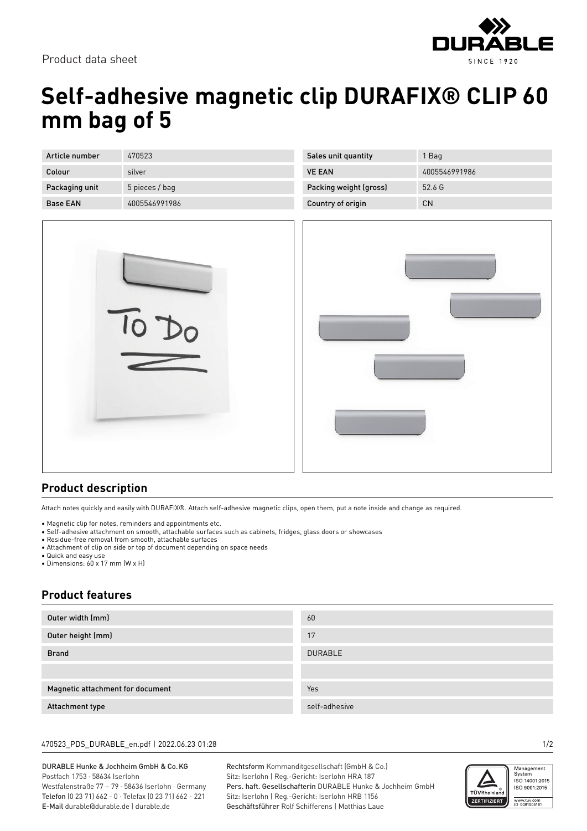

Product data sheet

# **Self-adhesive magnetic clip DURAFIX® CLIP 60 mm bag of 5**

| Article number  | 470523         |
|-----------------|----------------|
|                 |                |
| Colour          | silver         |
|                 |                |
| Packaging unit  | 5 pieces / bag |
|                 |                |
|                 |                |
| <b>Base FAN</b> | 4005546991986  |
|                 |                |



| Sales unit quantity    | 1 Bag         |
|------------------------|---------------|
| <b>VE FAN</b>          | 4005546991986 |
| Packing weight (gross) | 52.6 G        |
| Country of origin      | CΝ            |



## **Product description**

Attach notes quickly and easily with DURAFIX®. Attach self-adhesive magnetic clips, open them, put a note inside and change as required.

- Magnetic clip for notes, reminders and appointments etc.
- Self-adhesive attachment on smooth, attachable surfaces such as cabinets, fridges, glass doors or showcases
- Residue-free removal from smooth, attachable surfaces
- Attachment of clip on side or top of document depending on space needs
- Quick and easy use
- Dimensions: 60 x 17 mm (W x H)

## **Product features**

| Outer width (mm)                 | 60             |
|----------------------------------|----------------|
| Outer height (mm)                | 17             |
| <b>Brand</b>                     | <b>DURABLE</b> |
|                                  |                |
| Magnetic attachment for document | Yes            |
| Attachment type                  | self-adhesive  |

#### 470523\_PDS\_DURABLE\_en.pdf | 2022.06.23 01:28 1/2

#### DURABLE Hunke & Jochheim GmbH & Co.KG Postfach 1753 · 58634 Iserlohn Westfalenstraße 77 – 79 · 58636 Iserlohn · Germany Telefon (0 23 71) 662 - 0 · Telefax (0 23 71) 662 - 221

E-Mail durable@durable.de | durable.de

Rechtsform Kommanditgesellschaft (GmbH & Co.) Sitz: Iserlohn | Reg.-Gericht: Iserlohn HRA 187 Pers. haft. Gesellschafterin DURABLE Hunke & Jochheim GmbH Sitz: Iserlohn | Reg.-Gericht: Iserlohn HRB 1156 Geschäftsführer Rolf Schifferens | Matthias Laue